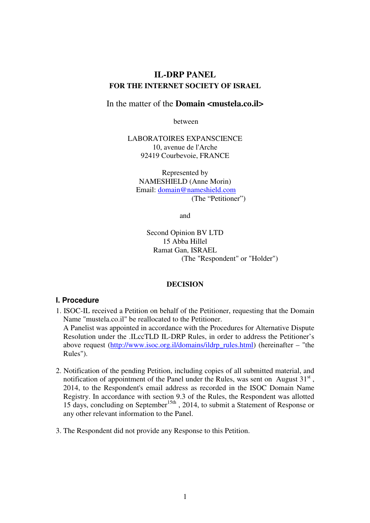# **IL-DRP PANEL FOR THE INTERNET SOCIETY OF ISRAEL**

# In the matter of the **Domain <mustela.co.il>**

between

LABORATOIRES EXPANSCIENCE 10, avenue de l'Arche 92419 Courbevoie, FRANCE

Represented by NAMESHIELD (Anne Morin) Email: domain@nameshield.com (The "Petitioner")

and

Second Opinion BV LTD 15 Abba Hillel Ramat Gan, ISRAEL (The "Respondent" or "Holder")

### **DECISION**

### **I. Procedure**

- 1. ISOC-IL received a Petition on behalf of the Petitioner, requesting that the Domain Name "mustela.co.il" be reallocated to the Petitioner. A Panelist was appointed in accordance with the Procedures for Alternative Dispute Resolution under the .ILccTLD IL-DRP Rules, in order to address the Petitioner's above request (http://www.isoc.org.il/domains/ildrp\_rules.html) (hereinafter – "the Rules").
- 2. Notification of the pending Petition, including copies of all submitted material, and notification of appointment of the Panel under the Rules, was sent on August  $31<sup>st</sup>$ , 2014, to the Respondent's email address as recorded in the ISOC Domain Name Registry. In accordance with section 9.3 of the Rules, the Respondent was allotted 15 days, concluding on September<sup>15th</sup>, 2014, to submit a Statement of Response or any other relevant information to the Panel.
- 3. The Respondent did not provide any Response to this Petition.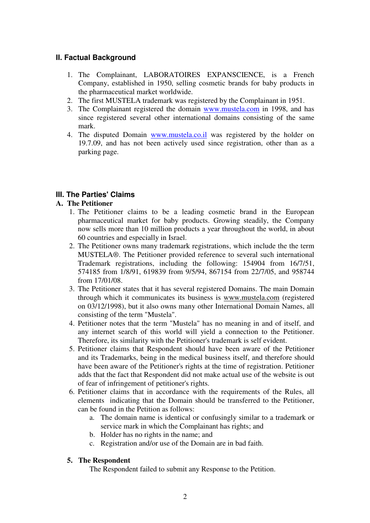# **II. Factual Background**

- 1. The Complainant, LABORATOIRES EXPANSCIENCE, is a French Company, established in 1950, selling cosmetic brands for baby products in the pharmaceutical market worldwide.
- 2. The first MUSTELA trademark was registered by the Complainant in 1951.
- 3. The Complainant registered the domain www.mustela.com in 1998, and has since registered several other international domains consisting of the same mark.
- 4. The disputed Domain www.mustela.co.il was registered by the holder on 19.7.09, and has not been actively used since registration, other than as a parking page.

# **III. The Parties' Claims**

# **A. The Petitioner**

- 1. The Petitioner claims to be a leading cosmetic brand in the European pharmaceutical market for baby products. Growing steadily, the Company now sells more than 10 million products a year throughout the world, in about 60 countries and especially in Israel.
- 2. The Petitioner owns many trademark registrations, which include the the term MUSTELA®. The Petitioner provided reference to several such international Trademark registrations, including the following: 154904 from 16/7/51, 574185 from 1/8/91, 619839 from 9/5/94, 867154 from 22/7/05, and 958744 from 17/01/08.
- 3. The Petitioner states that it has several registered Domains. The main Domain through which it communicates its business is www.mustela.com (registered on 03/12/1998), but it also owns many other International Domain Names, all consisting of the term "Mustela".
- 4. Petitioner notes that the term "Mustela" has no meaning in and of itself, and any internet search of this world will yield a connection to the Petitioner. Therefore, its similarity with the Petitioner's trademark is self evident.
- 5. Petitioner claims that Respondent should have been aware of the Petitioner and its Trademarks, being in the medical business itself, and therefore should have been aware of the Petitioner's rights at the time of registration. Petitioner adds that the fact that Respondent did not make actual use of the website is out of fear of infringement of petitioner's rights.
- 6. Petitioner claims that in accordance with the requirements of the Rules, all elements indicating that the Domain should be transferred to the Petitioner, can be found in the Petition as follows:
	- a. The domain name is identical or confusingly similar to a trademark or service mark in which the Complainant has rights; and
	- b. Holder has no rights in the name; and
	- c. Registration and/or use of the Domain are in bad faith.

# **5. The Respondent**

The Respondent failed to submit any Response to the Petition.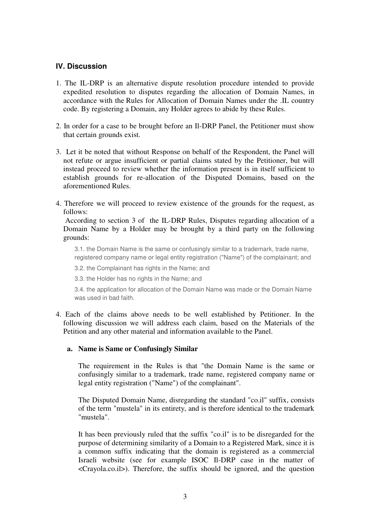### **IV. Discussion**

- 1. The IL-DRP is an alternative dispute resolution procedure intended to provide expedited resolution to disputes regarding the allocation of Domain Names, in accordance with the Rules for Allocation of Domain Names under the .IL country code. By registering a Domain, any Holder agrees to abide by these Rules.
- 2. In order for a case to be brought before an Il-DRP Panel, the Petitioner must show that certain grounds exist.
- 3. Let it be noted that without Response on behalf of the Respondent, the Panel will not refute or argue insufficient or partial claims stated by the Petitioner, but will instead proceed to review whether the information present is in itself sufficient to establish grounds for re-allocation of the Disputed Domains, based on the aforementioned Rules.
- 4. Therefore we will proceed to review existence of the grounds for the request, as follows:

 According to section 3 of the IL-DRP Rules, Disputes regarding allocation of a Domain Name by a Holder may be brought by a third party on the following grounds:

3.1. the Domain Name is the same or confusingly similar to a trademark, trade name, registered company name or legal entity registration ("Name") of the complainant; and

- 3.2. the Complainant has rights in the Name; and
- 3.3. the Holder has no rights in the Name; and

3.4. the application for allocation of the Domain Name was made or the Domain Name was used in bad faith.

4. Each of the claims above needs to be well established by Petitioner. In the following discussion we will address each claim, based on the Materials of the Petition and any other material and information available to the Panel.

#### **a. Name is Same or Confusingly Similar**

The requirement in the Rules is that "the Domain Name is the same or confusingly similar to a trademark, trade name, registered company name or legal entity registration ("Name") of the complainant".

The Disputed Domain Name, disregarding the standard "co.il" suffix, consists of the term "mustela" in its entirety, and is therefore identical to the trademark "mustela".

It has been previously ruled that the suffix "co.il" is to be disregarded for the purpose of determining similarity of a Domain to a Registered Mark, since it is a common suffix indicating that the domain is registered as a commercial Israeli website (see for example ISOC Il-DRP case in the matter of <Crayola.co.il>). Therefore, the suffix should be ignored, and the question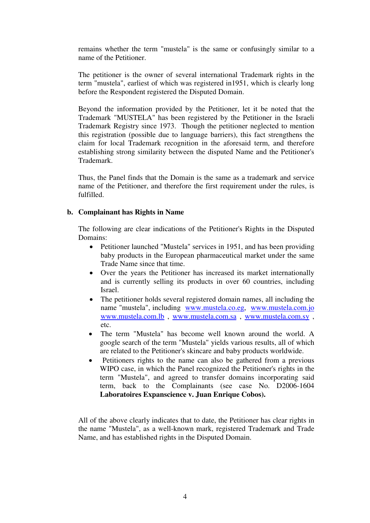remains whether the term "mustela" is the same or confusingly similar to a name of the Petitioner.

The petitioner is the owner of several international Trademark rights in the term "mustela", earliest of which was registered in1951, which is clearly long before the Respondent registered the Disputed Domain.

Beyond the information provided by the Petitioner, let it be noted that the Trademark "MUSTELA" has been registered by the Petitioner in the Israeli Trademark Registry since 1973. Though the petitioner neglected to mention this registration (possible due to language barriers), this fact strengthens the claim for local Trademark recognition in the aforesaid term, and therefore establishing strong similarity between the disputed Name and the Petitioner's Trademark.

Thus, the Panel finds that the Domain is the same as a trademark and service name of the Petitioner, and therefore the first requirement under the rules, is fulfilled.

#### **b. Complainant has Rights in Name**

The following are clear indications of the Petitioner's Rights in the Disputed Domains:

- Petitioner launched "Mustela" services in 1951, and has been providing baby products in the European pharmaceutical market under the same Trade Name since that time.
- Over the years the Petitioner has increased its market internationally and is currently selling its products in over 60 countries, including Israel.
- The petitioner holds several registered domain names, all including the name "mustela", including www.mustela.co.eg, www.mustela.com.jo www.mustela.com.lb , www.mustela.com.sa , www.mustela.com.sy , etc.
- The term "Mustela" has become well known around the world. A google search of the term "Mustela" yields various results, all of which are related to the Petitioner's skincare and baby products worldwide.
- Petitioners rights to the name can also be gathered from a previous WIPO case, in which the Panel recognized the Petitioner's rights in the term "Mustela", and agreed to transfer domains incorporating said term, back to the Complainants (see case No. D2006-1604 **Laboratoires Expanscience v. Juan Enrique Cobos).**

All of the above clearly indicates that to date, the Petitioner has clear rights in the name "Mustela", as a well-known mark, registered Trademark and Trade Name, and has established rights in the Disputed Domain.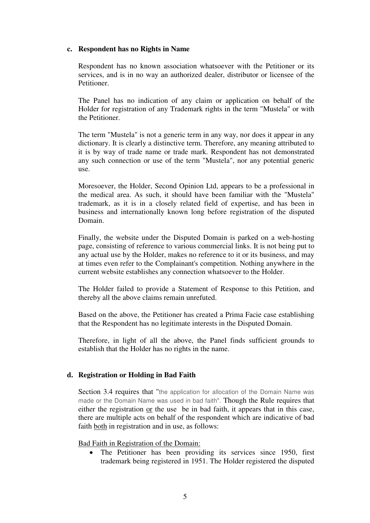#### **c. Respondent has no Rights in Name**

Respondent has no known association whatsoever with the Petitioner or its services, and is in no way an authorized dealer, distributor or licensee of the Petitioner.

The Panel has no indication of any claim or application on behalf of the Holder for registration of any Trademark rights in the term "Mustela" or with the Petitioner.

The term "Mustela" is not a generic term in any way, nor does it appear in any dictionary. It is clearly a distinctive term. Therefore, any meaning attributed to it is by way of trade name or trade mark. Respondent has not demonstrated any such connection or use of the term "Mustela", nor any potential generic use.

Moresoever, the Holder, Second Opinion Ltd, appears to be a professional in the medical area. As such, it should have been familiar with the "Mustela" trademark, as it is in a closely related field of expertise, and has been in business and internationally known long before registration of the disputed Domain.

Finally, the website under the Disputed Domain is parked on a web-hosting page, consisting of reference to various commercial links. It is not being put to any actual use by the Holder, makes no reference to it or its business, and may at times even refer to the Complainant's competition. Nothing anywhere in the current website establishes any connection whatsoever to the Holder.

The Holder failed to provide a Statement of Response to this Petition, and thereby all the above claims remain unrefuted.

Based on the above, the Petitioner has created a Prima Facie case establishing that the Respondent has no legitimate interests in the Disputed Domain.

Therefore, in light of all the above, the Panel finds sufficient grounds to establish that the Holder has no rights in the name.

### **d. Registration or Holding in Bad Faith**

Section 3.4 requires that "the application for allocation of the Domain Name was made or the Domain Name was used in bad faith". Though the Rule requires that either the registration or the use be in bad faith, it appears that in this case, there are multiple acts on behalf of the respondent which are indicative of bad faith both in registration and in use, as follows:

Bad Faith in Registration of the Domain:

The Petitioner has been providing its services since 1950, first trademark being registered in 1951. The Holder registered the disputed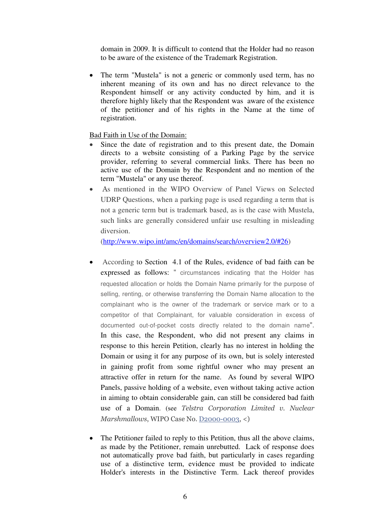domain in 2009. It is difficult to contend that the Holder had no reason to be aware of the existence of the Trademark Registration.

• The term "Mustela" is not a generic or commonly used term, has no inherent meaning of its own and has no direct relevance to the Respondent himself or any activity conducted by him, and it is therefore highly likely that the Respondent was aware of the existence of the petitioner and of his rights in the Name at the time of registration.

Bad Faith in Use of the Domain:

- Since the date of registration and to this present date, the Domain directs to a website consisting of a Parking Page by the service provider, referring to several commercial links. There has been no active use of the Domain by the Respondent and no mention of the term "Mustela" or any use thereof.
- As mentioned in the WIPO Overview of Panel Views on Selected UDRP Questions, when a parking page is used regarding a term that is not a generic term but is trademark based, as is the case with Mustela, such links are generally considered unfair use resulting in misleading diversion.

(http://www.wipo.int/amc/en/domains/search/overview2.0/#26)

- According to Section 4.1 of the Rules, evidence of bad faith can be expressed as follows: " circumstances indicating that the Holder has requested allocation or holds the Domain Name primarily for the purpose of selling, renting, or otherwise transferring the Domain Name allocation to the complainant who is the owner of the trademark or service mark or to a competitor of that Complainant, for valuable consideration in excess of documented out-of-pocket costs directly related to the domain name". In this case, the Respondent, who did not present any claims in response to this herein Petition, clearly has no interest in holding the Domain or using it for any purpose of its own, but is solely interested in gaining profit from some rightful owner who may present an attractive offer in return for the name. As found by several WIPO Panels, passive holding of a website, even without taking active action in aiming to obtain considerable gain, can still be considered bad faith use of a Domain. (see Telstra Corporation Limited v. Nuclear Marshmallows, WIPO Case No. D2000-0003, <)
- The Petitioner failed to reply to this Petition, thus all the above claims, as made by the Petitioner, remain unrebutted. Lack of response does not automatically prove bad faith, but particularly in cases regarding use of a distinctive term, evidence must be provided to indicate Holder's interests in the Distinctive Term. Lack thereof provides